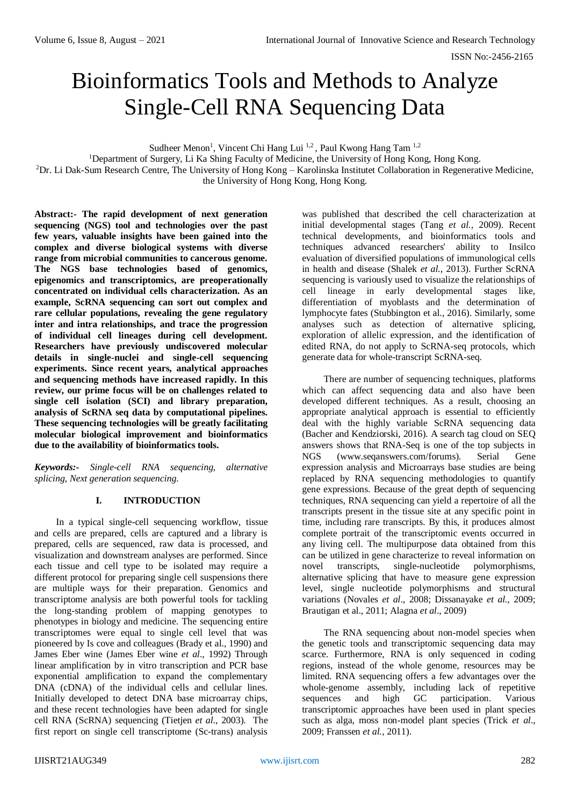# Bioinformatics Tools and Methods to Analyze Single-Cell RNA Sequencing Data

Sudheer Menon<sup>1</sup>, Vincent Chi Hang Lui<sup>1,2</sup>, Paul Kwong Hang Tam<sup>1,2</sup>

<sup>1</sup>Department of Surgery, Li Ka Shing Faculty of Medicine, the University of Hong Kong, Hong Kong.

<sup>2</sup>Dr. Li Dak-Sum Research Centre, The University of Hong Kong – Karolinska Institutet Collaboration in Regenerative Medicine, the University of Hong Kong, Hong Kong.

**Abstract:- The rapid development of next generation sequencing (NGS) tool and technologies over the past few years, valuable insights have been gained into the complex and diverse biological systems with diverse range from microbial communities to cancerous genome. The NGS base technologies based of genomics, epigenomics and transcriptomics, are preoperationally concentrated on individual cells characterization. As an example, ScRNA sequencing can sort out complex and rare cellular populations, revealing the gene regulatory inter and intra relationships, and trace the progression of individual cell lineages during cell development. Researchers have previously undiscovered molecular details in single-nuclei and single-cell sequencing experiments. Since recent years, analytical approaches and sequencing methods have increased rapidly. In this review, our prime focus will be on challenges related to single cell isolation (SCI) and library preparation, analysis of ScRNA seq data by computational pipelines. These sequencing technologies will be greatly facilitating molecular biological improvement and bioinformatics due to the availability of bioinformatics tools.**

*Keywords:- Single-cell RNA sequencing, alternative splicing, Next generation sequencing.*

# **I. INTRODUCTION**

In a typical single-cell sequencing workflow, tissue and cells are prepared, cells are captured and a library is prepared, cells are sequenced, raw data is processed, and visualization and downstream analyses are performed. Since each tissue and cell type to be isolated may require a different protocol for preparing single cell suspensions there are multiple ways for their preparation. Genomics and transcriptome analysis are both powerful tools for tackling the long-standing problem of mapping genotypes to phenotypes in biology and medicine. The sequencing entire transcriptomes were equal to single cell level that was pioneered by Is cove and colleagues (Brady et al., 1990) and James Eber wine (James Eber wine *et al*., 1992) Through linear amplification by in vitro transcription and PCR base exponential amplification to expand the complementary DNA (cDNA) of the individual cells and cellular lines. Initially developed to detect DNA base microarray chips, and these recent technologies have been adapted for single cell RNA (ScRNA) sequencing (Tietjen *et al*., 2003). The first report on single cell transcriptome (Sc-trans) analysis

was published that described the cell characterization at initial developmental stages (Tang *et al.,* 2009). Recent technical developments, and bioinformatics tools and techniques advanced researchers' ability to Insilco evaluation of diversified populations of immunological cells in health and disease (Shalek *et al.,* 2013). Further ScRNA sequencing is variously used to visualize the relationships of cell lineage in early developmental stages like, differentiation of myoblasts and the determination of lymphocyte fates (Stubbington et al., 2016). Similarly, some analyses such as detection of alternative splicing, exploration of allelic expression, and the identification of edited RNA, do not apply to ScRNA-seq protocols, which generate data for whole-transcript ScRNA-seq.

There are number of sequencing techniques, platforms which can affect sequencing data and also have been developed different techniques. As a result, choosing an appropriate analytical approach is essential to efficiently deal with the highly variable ScRNA sequencing data (Bacher and Kendziorski, 2016). A search tag cloud on SEQ answers shows that RNA-Seq is one of the top subjects in NGS (www.seqanswers.com/forums). Serial Gene expression analysis and Microarrays base studies are being replaced by RNA sequencing methodologies to quantify gene expressions. Because of the great depth of sequencing techniques, RNA sequencing can yield a repertoire of all the transcripts present in the tissue site at any specific point in time, including rare transcripts. By this, it produces almost complete portrait of the transcriptomic events occurred in any living cell. The multipurpose data obtained from this can be utilized in gene characterize to reveal information on novel transcripts, single-nucleotide polymorphisms, alternative splicing that have to measure gene expression level, single nucleotide polymorphisms and structural variations (Novales *et al*., 2008; Dissanayake *et al.,* 2009; Brautigan et al., 2011; Alagna *et al*., 2009)

The RNA sequencing about non-model species when the genetic tools and transcriptomic sequencing data may scarce. Furthermore, RNA is only sequenced in coding regions, instead of the whole genome, resources may be limited. RNA sequencing offers a few advantages over the whole-genome assembly, including lack of repetitive sequences and high GC participation. Various transcriptomic approaches have been used in plant species such as alga, moss non-model plant species (Trick *et al*., 2009; Franssen *et al.,* 2011).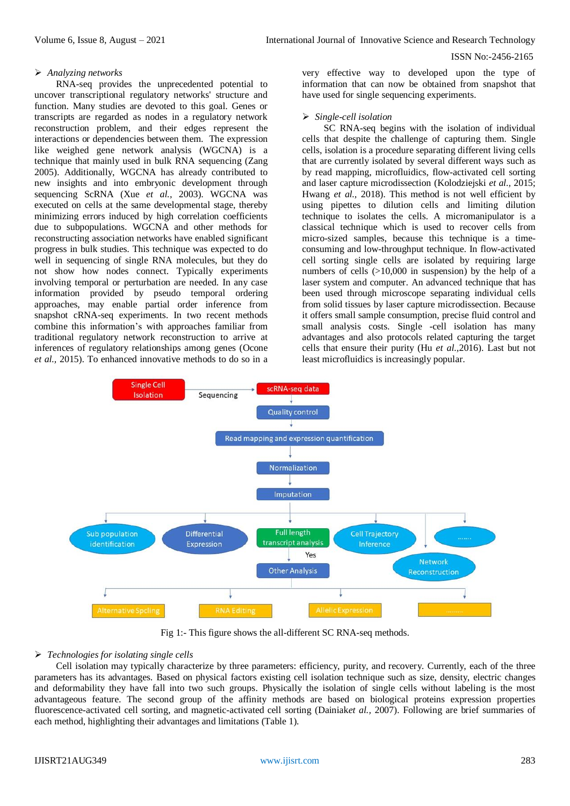#### *Analyzing networks*

RNA-seq provides the unprecedented potential to uncover transcriptional regulatory networks' structure and function. Many studies are devoted to this goal. Genes or transcripts are regarded as nodes in a regulatory network reconstruction problem, and their edges represent the interactions or dependencies between them. The expression like weighed gene network analysis (WGCNA) is a technique that mainly used in bulk RNA sequencing (Zang 2005). Additionally, WGCNA has already contributed to new insights and into embryonic development through sequencing ScRNA (Xue *et al.,* 2003). WGCNA was executed on cells at the same developmental stage, thereby minimizing errors induced by high correlation coefficients due to subpopulations. WGCNA and other methods for reconstructing association networks have enabled significant progress in bulk studies. This technique was expected to do well in sequencing of single RNA molecules, but they do not show how nodes connect. Typically experiments involving temporal or perturbation are needed. In any case information provided by pseudo temporal ordering approaches, may enable partial order inference from snapshot cRNA-seq experiments. In two recent methods combine this information's with approaches familiar from traditional regulatory network reconstruction to arrive at inferences of regulatory relationships among genes (Ocone *et al.,* 2015). To enhanced innovative methods to do so in a

very effective way to developed upon the type of information that can now be obtained from snapshot that have used for single sequencing experiments.

#### *Single-cell isolation*

SC RNA-seq begins with the isolation of individual cells that despite the challenge of capturing them. Single cells, isolation is a procedure separating different living cells that are currently isolated by several different ways such as by read mapping, microfluidics, flow-activated cell sorting and laser capture microdissection (Kolodziejski *et al.,* 2015; Hwang *et al.*, 2018). This method is not well efficient by using pipettes to dilution cells and limiting dilution technique to isolates the cells. A micromanipulator is a classical technique which is used to recover cells from micro-sized samples, because this technique is a timeconsuming and low-throughput technique. In flow-activated cell sorting single cells are isolated by requiring large numbers of cells  $(>10,000)$  in suspension) by the help of a laser system and computer. An advanced technique that has been used through microscope separating individual cells from solid tissues by laser capture microdissection. Because it offers small sample consumption, precise fluid control and small analysis costs. Single -cell isolation has many advantages and also protocols related capturing the target cells that ensure their purity (Hu *et al.,*2016). Last but not least microfluidics is increasingly popular.



Fig 1:- This figure shows the all-different SC RNA-seq methods.

# *Technologies for isolating single cells*

Cell isolation may typically characterize by three parameters: efficiency, purity, and recovery. Currently, each of the three parameters has its advantages. Based on physical factors existing cell isolation technique such as size, density, electric changes and deformability they have fall into two such groups. Physically the isolation of single cells without labeling is the most advantageous feature. The second group of the affinity methods are based on biological proteins expression properties fluorescence-activated cell sorting, and magnetic-activated cell sorting (Dainiak*et al.,* 2007). Following are brief summaries of each method, highlighting their advantages and limitations (Table 1).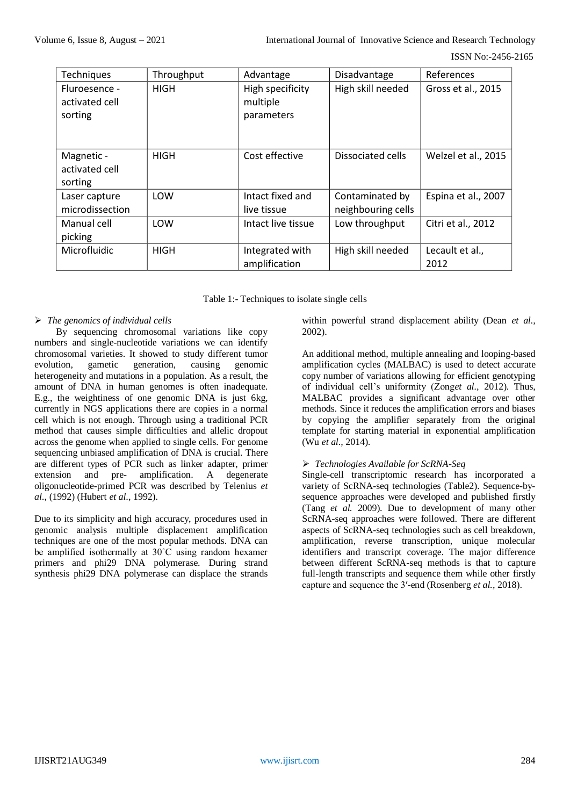| <b>Techniques</b>                          | Throughput  | Advantage                                  | Disadvantage                          | References              |
|--------------------------------------------|-------------|--------------------------------------------|---------------------------------------|-------------------------|
| Fluroesence -<br>activated cell<br>sorting | <b>HIGH</b> | High specificity<br>multiple<br>parameters | High skill needed                     | Gross et al., 2015      |
| Magnetic -<br>activated cell<br>sorting    | <b>HIGH</b> | Cost effective                             | Dissociated cells                     | Welzel et al., 2015     |
| Laser capture<br>microdissection           | LOW         | Intact fixed and<br>live tissue            | Contaminated by<br>neighbouring cells | Espina et al., 2007     |
| Manual cell<br>picking                     | <b>LOW</b>  | Intact live tissue                         | Low throughput                        | Citri et al., 2012      |
| Microfluidic                               | <b>HIGH</b> | Integrated with<br>amplification           | High skill needed                     | Lecault et al.,<br>2012 |

Table 1:- Techniques to isolate single cells

# *The genomics of individual cells*

By sequencing chromosomal variations like copy numbers and single-nucleotide variations we can identify chromosomal varieties. It showed to study different tumor evolution, gametic generation, causing genomic heterogeneity and mutations in a population. As a result, the amount of DNA in human genomes is often inadequate. E.g., the weightiness of one genomic DNA is just 6kg, currently in NGS applications there are copies in a normal cell which is not enough. Through using a traditional PCR method that causes simple difficulties and allelic dropout across the genome when applied to single cells. For genome sequencing unbiased amplification of DNA is crucial. There are different types of PCR such as linker adapter, primer extension and pre- amplification. A degenerate oligonucleotide-primed PCR was described by Telenius *et al.*, (1992) (Hubert *et al*., 1992).

Due to its simplicity and high accuracy, procedures used in genomic analysis multiple displacement amplification techniques are one of the most popular methods. DNA can be amplified isothermally at  $30^{\circ}$ C using random hexamer primers and phi29 DNA polymerase. During strand synthesis phi29 DNA polymerase can displace the strands

within powerful strand displacement ability (Dean *et al.,* 2002).

An additional method, multiple annealing and looping-based amplification cycles (MALBAC) is used to detect accurate copy number of variations allowing for efficient genotyping of individual cell's uniformity (Zong*et al.,* 2012). Thus, MALBAC provides a significant advantage over other methods. Since it reduces the amplification errors and biases by copying the amplifier separately from the original template for starting material in exponential amplification (Wu *et al.,* 2014).

# *Technologies Available for ScRNA-Seq*

Single-cell transcriptomic research has incorporated a variety of ScRNA-seq technologies (Table2). Sequence-bysequence approaches were developed and published firstly (Tang *et al.* 2009). Due to development of many other ScRNA-seq approaches were followed. There are different aspects of ScRNA-seq technologies such as cell breakdown, amplification, reverse transcription, unique molecular identifiers and transcript coverage. The major difference between different ScRNA-seq methods is that to capture full-length transcripts and sequence them while other firstly capture and sequence the 3′-end (Rosenberg *et al.,* 2018).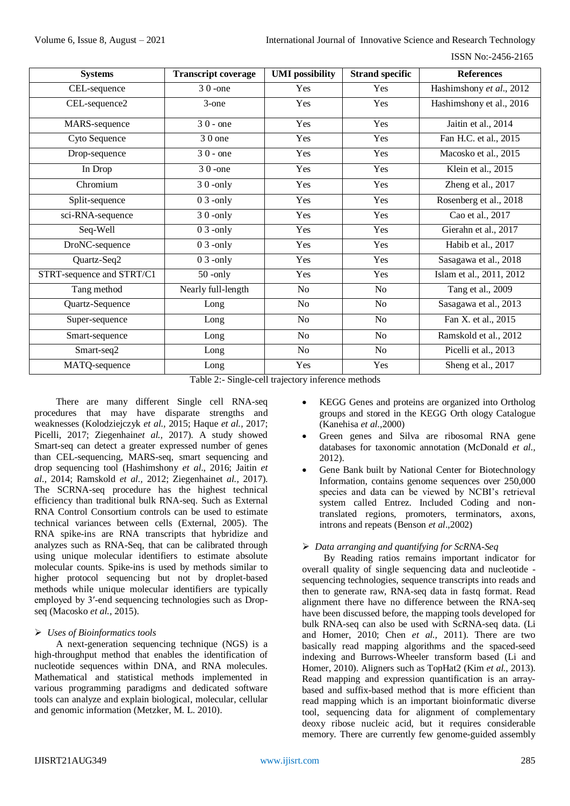ISSN No:-2456-2165

| <b>Systems</b>            | <b>Transcript coverage</b> | <b>UMI</b> possibility | <b>Strand specific</b> | <b>References</b>        |
|---------------------------|----------------------------|------------------------|------------------------|--------------------------|
| CEL-sequence              | $30$ -one                  | Yes                    | Yes                    | Hashimshony et al., 2012 |
| CEL-sequence2             | 3-one                      | Yes                    | Yes                    | Hashimshony et al., 2016 |
| MARS-sequence             | $30 -$ one                 | Yes                    | Yes                    | Jaitin et al., 2014      |
| Cyto Sequence             | 30 one                     | Yes                    | Yes                    | Fan H.C. et al., 2015    |
| Drop-sequence             | $30 -$ one                 | Yes                    | Yes                    | Macosko et al., 2015     |
| In Drop                   | $30$ -one                  | Yes                    | Yes                    | Klein et al., 2015       |
| Chromium                  | $30$ -only                 | Yes                    | Yes                    | Zheng et al., 2017       |
| Split-sequence            | $03$ -only                 | Yes                    | Yes                    | Rosenberg et al., 2018   |
| sci-RNA-sequence          | $30$ -only                 | Yes                    | Yes                    | Cao et al., 2017         |
| Seq-Well                  | $03$ -only                 | Yes                    | Yes                    | Gierahn et al., 2017     |
| DroNC-sequence            | $03$ -only                 | Yes                    | Yes                    | Habib et al., 2017       |
| Quartz-Seq2               | $03$ -only                 | <b>Yes</b>             | Yes                    | Sasagawa et al., 2018    |
| STRT-sequence and STRT/C1 | $50$ -only                 | Yes                    | Yes                    | Islam et al., 2011, 2012 |
| Tang method               | Nearly full-length         | No                     | N <sub>o</sub>         | Tang et al., 2009        |
| Quartz-Sequence           | Long                       | N <sub>o</sub>         | N <sub>o</sub>         | Sasagawa et al., 2013    |
| Super-sequence            | Long                       | N <sub>o</sub>         | No                     | Fan X. et al., 2015      |
| Smart-sequence            | Long                       | No                     | No                     | Ramskold et al., 2012    |
| Smart-seq2                | Long                       | N <sub>o</sub>         | No                     | Picelli et al., 2013     |
| MATQ-sequence             | Long                       | Yes                    | Yes                    | Sheng et al., 2017       |

Table 2:- Single-cell trajectory inference methods

There are many different Single cell RNA-seq procedures that may have disparate strengths and weaknesses (Kolodziejczyk *et al.,* 2015; Haque *et al.,* 2017; Picelli, 2017; Ziegenhain*et al.,* 2017). A study showed Smart-seq can detect a greater expressed number of genes than CEL-sequencing, MARS-seq, smart sequencing and drop sequencing tool (Hashimshony *et al*., 2016; Jaitin *et al.,* 2014; Ramskold *et al.,* 2012; Ziegenhainet *al.,* 2017). The SCRNA-seq procedure has the highest technical efficiency than traditional bulk RNA-seq. Such as External RNA Control Consortium controls can be used to estimate technical variances between cells (External, 2005). The RNA spike-ins are RNA transcripts that hybridize and analyzes such as RNA-Seq, that can be calibrated through using unique molecular identifiers to estimate absolute molecular counts. Spike-ins is used by methods similar to higher protocol sequencing but not by droplet-based methods while unique molecular identifiers are typically employed by 3′-end sequencing technologies such as Dropseq (Macosko *et al.,* 2015).

# *Uses of Bioinformatics tools*

A next-generation sequencing technique (NGS) is a high-throughput method that enables the identification of nucleotide sequences within DNA, and RNA molecules. Mathematical and statistical methods implemented in various programming paradigms and dedicated software tools can analyze and explain biological, molecular, cellular and genomic information (Metzker, M. L. 2010).

- KEGG Genes and proteins are organized into Ortholog groups and stored in the KEGG Orth ology Catalogue (Kanehisa *et al.,*2000)
- Green genes and Silva are ribosomal RNA gene databases for taxonomic annotation (McDonald *et al.,* 2012).
- Gene Bank built by National Center for Biotechnology Information, contains genome sequences over 250,000 species and data can be viewed by NCBI's retrieval system called Entrez. Included Coding and nontranslated regions, promoters, terminators, axons, introns and repeats (Benson *et al*.,2002)

# *Data arranging and quantifying for ScRNA-Seq*

By Reading ratios remains important indicator for overall quality of single sequencing data and nucleotide sequencing technologies, sequence transcripts into reads and then to generate raw, RNA-seq data in fastq format. Read alignment there have no difference between the RNA-seq have been discussed before, the mapping tools developed for bulk RNA-seq can also be used with ScRNA-seq data. (Li and Homer, 2010; Chen *et al.,* 2011). There are two basically read mapping algorithms and the spaced-seed indexing and Burrows-Wheeler transform based (Li and Homer, 2010). Aligners such as TopHat2 (Kim *et al.,* 2013). Read mapping and expression quantification is an arraybased and suffix-based method that is more efficient than read mapping which is an important bioinformatic diverse tool, sequencing data for alignment of complementary deoxy ribose nucleic acid, but it requires considerable memory. There are currently few genome-guided assembly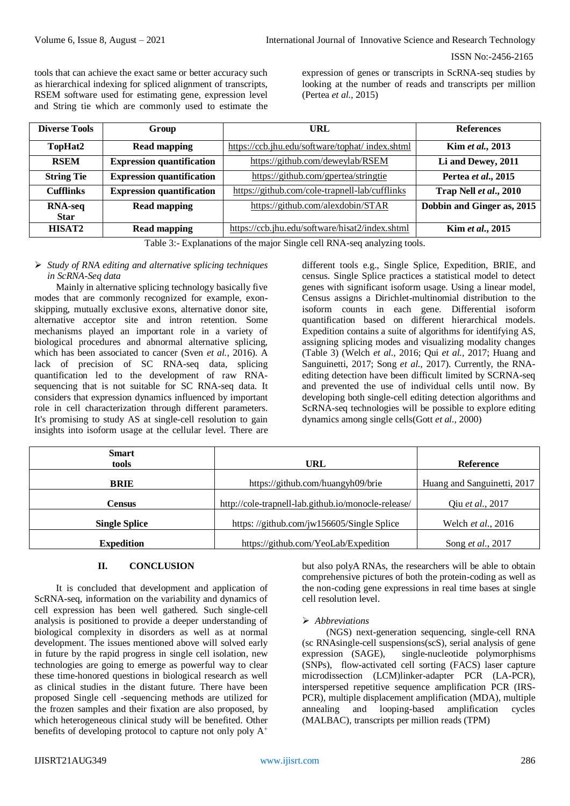tools that can achieve the exact same or better accuracy such as hierarchical indexing for spliced alignment of transcripts, RSEM software used for estimating gene, expression level and String tie which are commonly used to estimate the expression of genes or transcripts in ScRNA-seq studies by looking at the number of reads and transcripts per million (Pertea *et al.,* 2015)

| <b>Diverse Tools</b> | Group                            | URL                                              | <b>References</b>          |
|----------------------|----------------------------------|--------------------------------------------------|----------------------------|
| TopHat2              | <b>Read mapping</b>              | https://ccb.jhu.edu/software/tophat/ index.shtml | Kim et al., 2013           |
| <b>RSEM</b>          | <b>Expression quantification</b> | https://github.com/deweylab/RSEM                 | Li and Dewey, 2011         |
| <b>String Tie</b>    | <b>Expression quantification</b> | https://github.com/gpertea/stringtie             | Pertea et al., 2015        |
| <b>Cufflinks</b>     | <b>Expression quantification</b> | https://github.com/cole-trapnell-lab/cufflinks   | Trap Nell et al., 2010     |
| <b>RNA-seq</b>       | <b>Read mapping</b>              | https://github.com/alexdobin/STAR                | Dobbin and Ginger as, 2015 |
| <b>Star</b>          |                                  |                                                  |                            |
| HISAT <sub>2</sub>   | <b>Read mapping</b>              | https://ccb.jhu.edu/software/hisat2/index.shtml  | Kim et al., 2015           |

Table 3:- Explanations of the major Single cell RNA-seq analyzing tools.

#### *Study of RNA editing and alternative splicing techniques in ScRNA-Seq data*

Mainly in alternative splicing technology basically five modes that are commonly recognized for example, exonskipping, mutually exclusive exons, alternative donor site, alternative acceptor site and intron retention. Some mechanisms played an important role in a variety of biological procedures and abnormal alternative splicing, which has been associated to cancer (Sven *et al.,* 2016). A lack of precision of SC RNA-seq data, splicing quantification led to the development of raw RNAsequencing that is not suitable for SC RNA-seq data. It considers that expression dynamics influenced by important role in cell characterization through different parameters. It's promising to study AS at single-cell resolution to gain insights into isoform usage at the cellular level. There are

different tools e.g., Single Splice, Expedition, BRIE, and census. Single Splice practices a statistical model to detect genes with significant isoform usage. Using a linear model, Census assigns a Dirichlet-multinomial distribution to the isoform counts in each gene. Differential isoform quantification based on different hierarchical models. Expedition contains a suite of algorithms for identifying AS, assigning splicing modes and visualizing modality changes (Table 3) (Welch *et al.,* 2016; Qui *et al.,* 2017; Huang and Sanguinetti, 2017; Song *et al.,* 2017). Currently, the RNAediting detection have been difficult limited by SCRNA-seq and prevented the use of individual cells until now. By developing both single-cell editing detection algorithms and ScRNA-seq technologies will be possible to explore editing dynamics among single cells(Gott *et al.,* 2000)

| Smart<br>tools                                                       | URL                                       | Reference          |
|----------------------------------------------------------------------|-------------------------------------------|--------------------|
|                                                                      |                                           |                    |
| <b>BRIE</b>                                                          | https://github.com/huangyh09/brie         |                    |
| http://cole-trapnell-lab.github.io/monocle-release/<br><b>Census</b> |                                           | Qiu et al., 2017   |
| <b>Single Splice</b>                                                 | https://github.com/jw156605/Single Splice | Welch et al., 2016 |
| <b>Expedition</b>                                                    | https://github.com/YeoLab/Expedition      | Song et al., 2017  |

# **II. CONCLUSION**

It is concluded that development and application of ScRNA-seq, information on the variability and dynamics of cell expression has been well gathered. Such single-cell analysis is positioned to provide a deeper understanding of biological complexity in disorders as well as at normal development. The issues mentioned above will solved early in future by the rapid progress in single cell isolation, new technologies are going to emerge as powerful way to clear these time-honored questions in biological research as well as clinical studies in the distant future. There have been proposed Single cell -sequencing methods are utilized for the frozen samples and their fixation are also proposed, by which heterogeneous clinical study will be benefited. Other benefits of developing protocol to capture not only poly  $A^+$ 

but also polyA RNAs, the researchers will be able to obtain comprehensive pictures of both the protein-coding as well as the non-coding gene expressions in real time bases at single cell resolution level.

# *Abbreviations*

(NGS) next-generation sequencing, single-cell RNA (sc RNAsingle-cell suspensions(scS), serial analysis of gene<br>expression (SAGE), single-nucleotide polymorphisms  $single-nucleotide$  polymorphisms (SNPs), flow-activated cell sorting (FACS) laser capture microdissection (LCM)linker-adapter PCR (LA-PCR), interspersed repetitive sequence amplification PCR (IRS-PCR), multiple displacement amplification (MDA), multiple annealing and looping-based amplification cycles (MALBAC), transcripts per million reads (TPM)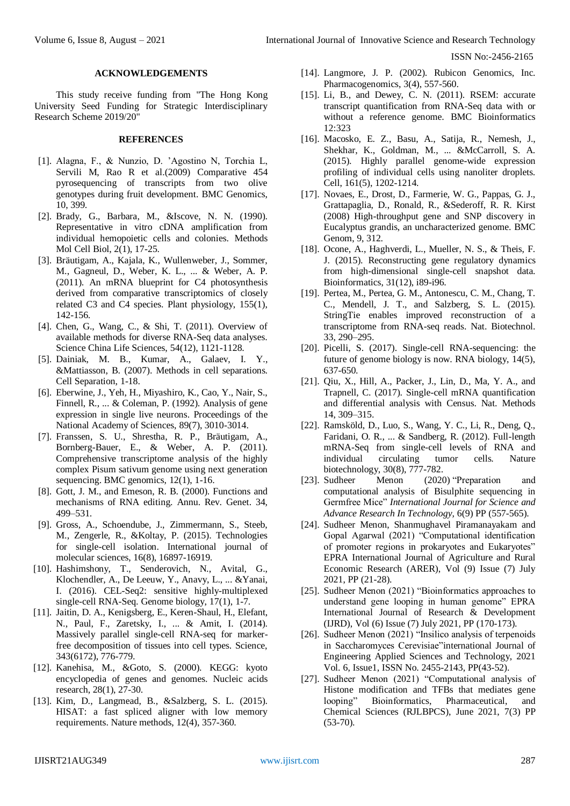#### **ACKNOWLEDGEMENTS**

This study receive funding from "The Hong Kong University Seed Funding for Strategic Interdisciplinary Research Scheme 2019/20"

#### **REFERENCES**

- [1]. Alagna, F., & Nunzio, D. 'Agostino N, Torchia L, Servili M, Rao R et al.(2009) Comparative 454 pyrosequencing of transcripts from two olive genotypes during fruit development. BMC Genomics, 10, 399.
- [2]. Brady, G., Barbara, M., &Iscove, N. N. (1990). Representative in vitro cDNA amplification from individual hemopoietic cells and colonies. Methods Mol Cell Biol, 2(1), 17-25.
- [3]. Bräutigam, A., Kajala, K., Wullenweber, J., Sommer, M., Gagneul, D., Weber, K. L., ... & Weber, A. P. (2011). An mRNA blueprint for C4 photosynthesis derived from comparative transcriptomics of closely related C3 and C4 species. Plant physiology, 155(1), 142-156.
- [4]. Chen, G., Wang, C., & Shi, T. (2011). Overview of available methods for diverse RNA-Seq data analyses. Science China Life Sciences, 54(12), 1121-1128.
- [5]. Dainiak, M. B., Kumar, A., Galaev, I. Y., &Mattiasson, B. (2007). Methods in cell separations. Cell Separation, 1-18.
- [6]. Eberwine, J., Yeh, H., Miyashiro, K., Cao, Y., Nair, S., Finnell, R., ... & Coleman, P. (1992). Analysis of gene expression in single live neurons. Proceedings of the National Academy of Sciences, 89(7), 3010-3014.
- [7]. Franssen, S. U., Shrestha, R. P., Bräutigam, A., Bornberg-Bauer, E., & Weber, A. P. (2011). Comprehensive transcriptome analysis of the highly complex Pisum sativum genome using next generation sequencing. BMC genomics, 12(1), 1-16.
- [8]. Gott, J. M., and Emeson, R. B. (2000). Functions and mechanisms of RNA editing. Annu. Rev. Genet. 34, 499–531.
- [9]. Gross, A., Schoendube, J., Zimmermann, S., Steeb, M., Zengerle, R., &Koltay, P. (2015). Technologies for single-cell isolation. International journal of molecular sciences, 16(8), 16897-16919.
- [10]. Hashimshony, T., Senderovich, N., Avital, G., Klochendler, A., De Leeuw, Y., Anavy, L., ... &Yanai, I. (2016). CEL-Seq2: sensitive highly-multiplexed single-cell RNA-Seq. Genome biology, 17(1), 1-7.
- [11]. Jaitin, D. A., Kenigsberg, E., Keren-Shaul, H., Elefant, N., Paul, F., Zaretsky, I., ... & Amit, I. (2014). Massively parallel single-cell RNA-seq for markerfree decomposition of tissues into cell types. Science, 343(6172), 776-779.
- [12]. Kanehisa, M., &Goto, S. (2000). KEGG: kyoto encyclopedia of genes and genomes. Nucleic acids research, 28(1), 27-30.
- [13]. Kim, D., Langmead, B., &Salzberg, S. L. (2015). HISAT: a fast spliced aligner with low memory requirements. Nature methods, 12(4), 357-360.
- [14]. Langmore, J. P. (2002). Rubicon Genomics, Inc. Pharmacogenomics, 3(4), 557-560.
- [15]. Li, B., and Dewey, C. N. (2011). RSEM: accurate transcript quantification from RNA-Seq data with or without a reference genome. BMC Bioinformatics 12:323
- [16]. Macosko, E. Z., Basu, A., Satija, R., Nemesh, J., Shekhar, K., Goldman, M., ... &McCarroll, S. A. (2015). Highly parallel genome-wide expression profiling of individual cells using nanoliter droplets. Cell, 161(5), 1202-1214.
- [17]. Novaes, E., Drost, D., Farmerie, W. G., Pappas, G. J., Grattapaglia, D., Ronald, R., &Sederoff, R. R. Kirst (2008) High-throughput gene and SNP discovery in Eucalyptus grandis, an uncharacterized genome. BMC Genom, 9, 312.
- [18]. Ocone, A., Haghverdi, L., Mueller, N. S., & Theis, F. J. (2015). Reconstructing gene regulatory dynamics from high-dimensional single-cell snapshot data. Bioinformatics, 31(12), i89-i96.
- [19]. Pertea, M., Pertea, G. M., Antonescu, C. M., Chang, T. C., Mendell, J. T., and Salzberg, S. L. (2015). StringTie enables improved reconstruction of a transcriptome from RNA-seq reads. Nat. Biotechnol. 33, 290–295.
- [20]. Picelli, S. (2017). Single-cell RNA-sequencing: the future of genome biology is now. RNA biology, 14(5), 637-650.
- [21]. Qiu, X., Hill, A., Packer, J., Lin, D., Ma, Y. A., and Trapnell, C. (2017). Single-cell mRNA quantification and differential analysis with Census. Nat. Methods 14, 309–315.
- [22]. Ramsköld, D., Luo, S., Wang, Y. C., Li, R., Deng, Q., Faridani, O. R., ... & Sandberg, R. (2012). Full-length mRNA-Seq from single-cell levels of RNA and individual circulating tumor cells. Nature biotechnology, 30(8), 777-782.
- [23]. Sudheer Menon (2020) "Preparation and computational analysis of Bisulphite sequencing in Germfree Mice" *International Journal for Science and Advance Research In Technology,* 6(9) PP (557-565).
- [24]. Sudheer Menon, Shanmughavel Piramanayakam and Gopal Agarwal (2021) "Computational identification of promoter regions in prokaryotes and Eukaryotes" EPRA International Journal of Agriculture and Rural Economic Research (ARER), Vol (9) Issue (7) July 2021, PP (21-28).
- [25]. Sudheer Menon (2021) "Bioinformatics approaches to understand gene looping in human genome" EPRA International Journal of Research & Development (IJRD), Vol (6) Issue (7) July 2021, PP (170-173).
- [26]. Sudheer Menon (2021) "Insilico analysis of terpenoids in Saccharomyces Cerevisiae"international Journal of Engineering Applied Sciences and Technology, 2021 Vol. 6, Issue1, ISSN No. 2455-2143, PP(43-52).
- [27]. Sudheer Menon (2021) "Computational analysis of Histone modification and TFBs that mediates gene looping" Bioinformatics, Pharmaceutical, and Chemical Sciences (RJLBPCS), June 2021, 7(3) PP (53-70).